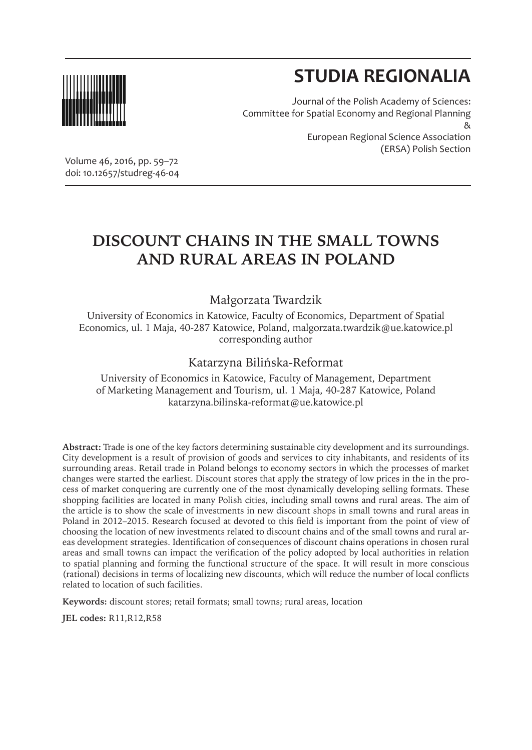

# **STUDIA REGIONALIA**

Journal of the Polish Academy of Sciences: Committee for Spatial Economy and Regional Planning & European Regional Science Association (ERSA) Polish Section

Volume 46, 2016, pp. 59–72 doi: 10.12657/studreg-46-04

# **DISCOUNT CHAINS IN THE SMALL TOWNS AND RURAL AREAS IN POLAND**

#### Małgorzata Twardzik

University of Economics in Katowice, Faculty of Economics, Department of Spatial Economics, ul. 1 Maja, 40-287 Katowice, Poland, malgorzata.twardzik@ue.katowice.pl corresponding author

#### Katarzyna Bilińska-Reformat

University of Economics in Katowice, Faculty of Management, Department of Marketing Management and Tourism, ul. 1 Maja, 40-287 Katowice, Poland katarzyna.bilinska-reformat@ue.katowice.pl

**Abstract:** Trade is one of the key factors determining sustainable city development and its surroundings. City development is a result of provision of goods and services to city inhabitants, and residents of its surrounding areas. Retail trade in Poland belongs to economy sectors in which the processes of market changes were started the earliest. Discount stores that apply the strategy of low prices in the in the process of market conquering are currently one of the most dynamically developing selling formats. These shopping facilities are located in many Polish cities, including small towns and rural areas. The aim of the article is to show the scale of investments in new discount shops in small towns and rural areas in Poland in 2012–2015. Research focused at devoted to this field is important from the point of view of choosing the location of new investments related to discount chains and of the small towns and rural areas development strategies. Identification of consequences of discount chains operations in chosen rural areas and small towns can impact the verification of the policy adopted by local authorities in relation to spatial planning and forming the functional structure of the space. It will result in more conscious (rational) decisions in terms of localizing new discounts, which will reduce the number of local conflicts related to location of such facilities.

**Keywords:** discount stores; retail formats; small towns; rural areas, location

**JEL codes:** R11,R12,R58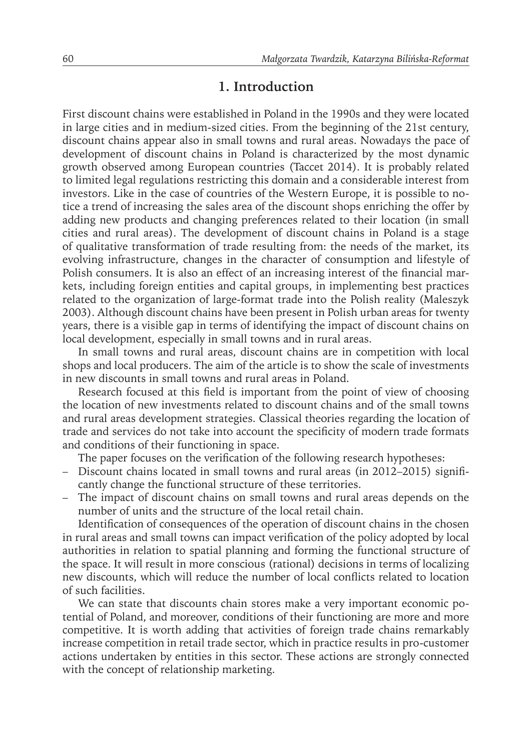#### **1. Introduction**

First discount chains were established in Poland in the 1990s and they were located in large cities and in medium-sized cities. From the beginning of the 21st century, discount chains appear also in small towns and rural areas. Nowadays the pace of development of discount chains in Poland is characterized by the most dynamic growth observed among European countries (Taccet 2014). It is probably related to limited legal regulations restricting this domain and a considerable interest from investors. Like in the case of countries of the Western Europe, it is possible to notice a trend of increasing the sales area of the discount shops enriching the offer by adding new products and changing preferences related to their location (in small cities and rural areas). The development of discount chains in Poland is a stage of qualitative transformation of trade resulting from: the needs of the market, its evolving infrastructure, changes in the character of consumption and lifestyle of Polish consumers. It is also an effect of an increasing interest of the financial markets, including foreign entities and capital groups, in implementing best practices related to the organization of large-format trade into the Polish reality (Maleszyk 2003). Although discount chains have been present in Polish urban areas for twenty years, there is a visible gap in terms of identifying the impact of discount chains on local development, especially in small towns and in rural areas.

In small towns and rural areas, discount chains are in competition with local shops and local producers. The aim of the article is to show the scale of investments in new discounts in small towns and rural areas in Poland.

Research focused at this field is important from the point of view of choosing the location of new investments related to discount chains and of the small towns and rural areas development strategies. Classical theories regarding the location of trade and services do not take into account the specificity of modern trade formats and conditions of their functioning in space.

The paper focuses on the verification of the following research hypotheses:

- Discount chains located in small towns and rural areas (in 2012–2015) significantly change the functional structure of these territories.
- The impact of discount chains on small towns and rural areas depends on the number of units and the structure of the local retail chain.

Identification of consequences of the operation of discount chains in the chosen in rural areas and small towns can impact verification of the policy adopted by local authorities in relation to spatial planning and forming the functional structure of the space. It will result in more conscious (rational) decisions in terms of localizing new discounts, which will reduce the number of local conflicts related to location of such facilities.

We can state that discounts chain stores make a very important economic potential of Poland, and moreover, conditions of their functioning are more and more competitive. It is worth adding that activities of foreign trade chains remarkably increase competition in retail trade sector, which in practice results in pro-customer actions undertaken by entities in this sector. These actions are strongly connected with the concept of relationship marketing.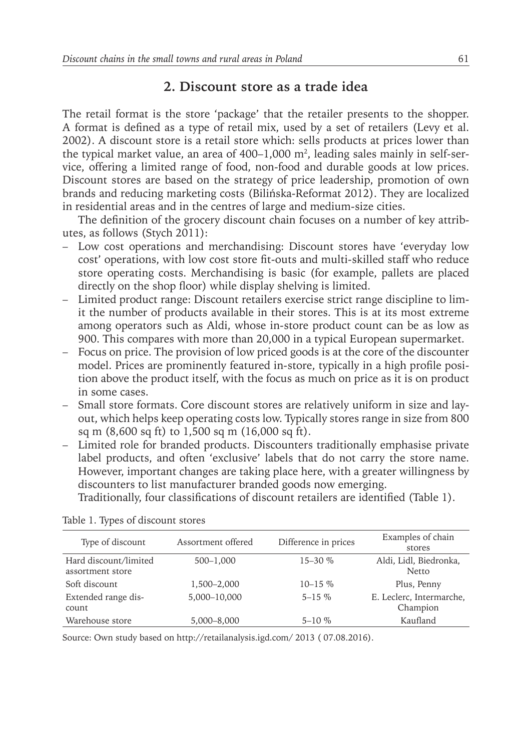#### **2. Discount store as a trade idea**

The retail format is the store 'package' that the retailer presents to the shopper. A format is defined as a type of retail mix, used by a set of retailers (Levy et al. 2002). A discount store is a retail store which: sells products at prices lower than the typical market value, an area of 400–1,000 m², leading sales mainly in self-service, offering a limited range of food, non-food and durable goods at low prices. Discount stores are based on the strategy of price leadership, promotion of own brands and reducing marketing costs (Bilińska-Reformat 2012). They are localized in residential areas and in the centres of large and medium-size cities.

The definition of the grocery discount chain focuses on a number of key attributes, as follows (Stych 2011):

- Low cost operations and merchandising: Discount stores have 'everyday low cost' operations, with low cost store fit-outs and multi-skilled staff who reduce store operating costs. Merchandising is basic (for example, pallets are placed directly on the shop floor) while display shelving is limited.
- Limited product range: Discount retailers exercise strict range discipline to limit the number of products available in their stores. This is at its most extreme among operators such as Aldi, whose in-store product count can be as low as 900. This compares with more than 20,000 in a typical European supermarket.
- Focus on price. The provision of low priced goods is at the core of the discounter model. Prices are prominently featured in-store, typically in a high profile position above the product itself, with the focus as much on price as it is on product in some cases.
- Small store formats. Core discount stores are relatively uniform in size and layout, which helps keep operating costs low. Typically stores range in size from 800 sq m (8,600 sq ft) to 1,500 sq m (16,000 sq ft).
- Limited role for branded products. Discounters traditionally emphasise private label products, and often 'exclusive' labels that do not carry the store name. However, important changes are taking place here, with a greater willingness by discounters to list manufacturer branded goods now emerging. Traditionally, four classifications of discount retailers are identified (Table 1).

Type of discount Assortment offered Difference in prices Examples of chain stores Hard discount/limited assortment store 500–1,000 15–30 % Aldi, Lidl, Biedronka, Netto Soft discount 1,500–2,000 10–15 % Plus, Penny Extended range discount 5,000–10,000 5–15 % E. Leclerc, Intermarche, Champion Warehouse store 5,000–8,000 5–10 % Kaufland

Table 1. Types of discount stores

Source: Own study based on http://retailanalysis.igd.com/ 2013 ( 07.08.2016).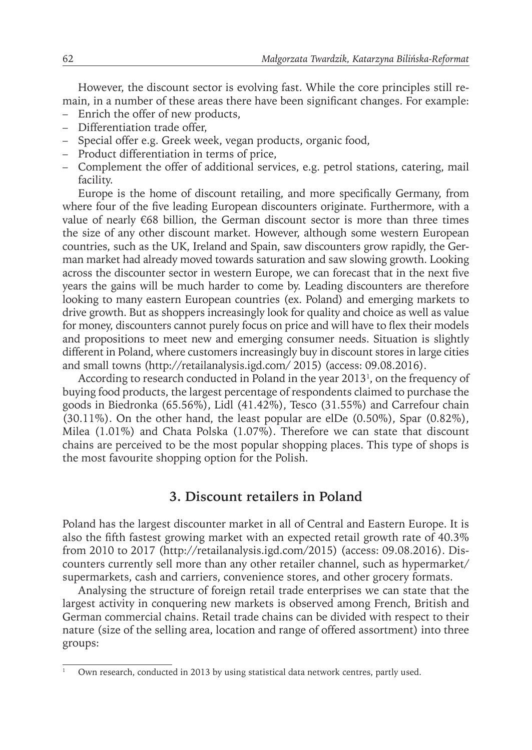However, the discount sector is evolving fast. While the core principles still remain, in a number of these areas there have been significant changes. For example:

- Enrich the offer of new products,
- Differentiation trade offer,
- Special offer e.g. Greek week, vegan products, organic food,
- Product differentiation in terms of price,
- Complement the offer of additional services, e.g. petrol stations, catering, mail facility.

Europe is the home of discount retailing, and more specifically Germany, from where four of the five leading European discounters originate. Furthermore, with a value of nearly €68 billion, the German discount sector is more than three times the size of any other discount market. However, although some western European countries, such as the UK, Ireland and Spain, saw discounters grow rapidly, the German market had already moved towards saturation and saw slowing growth. Looking across the discounter sector in western Europe, we can forecast that in the next five years the gains will be much harder to come by. Leading discounters are therefore looking to many eastern European countries (ex. Poland) and emerging markets to drive growth. But as shoppers increasingly look for quality and choice as well as value for money, discounters cannot purely focus on price and will have to flex their models and propositions to meet new and emerging consumer needs. Situation is slightly different in Poland, where customers increasingly buy in discount stores in large cities and small towns (http://retailanalysis.igd.com/ 2015) (access: 09.08.2016).

According to research conducted in Poland in the year 2013<sup>1</sup>, on the frequency of buying food products, the largest percentage of respondents claimed to purchase the goods in Biedronka (65.56%), Lidl (41.42%), Tesco (31.55%) and Carrefour chain (30.11%). On the other hand, the least popular are elDe (0.50%), Spar (0.82%), Milea (1.01%) and Chata Polska (1.07%). Therefore we can state that discount chains are perceived to be the most popular shopping places. This type of shops is the most favourite shopping option for the Polish.

#### **3. Discount retailers in Poland**

Poland has the largest discounter market in all of Central and Eastern Europe. It is also the fifth fastest growing market with an expected retail growth rate of 40.3% from 2010 to 2017 (http://retailanalysis.igd.com/2015) (access: 09.08.2016). Discounters currently sell more than any other retailer channel, such as hypermarket/ supermarkets, cash and carriers, convenience stores, and other grocery formats.

Analysing the structure of foreign retail trade enterprises we can state that the largest activity in conquering new markets is observed among French, British and German commercial chains. Retail trade chains can be divided with respect to their nature (size of the selling area, location and range of offered assortment) into three groups:

Own research, conducted in 2013 by using statistical data network centres, partly used.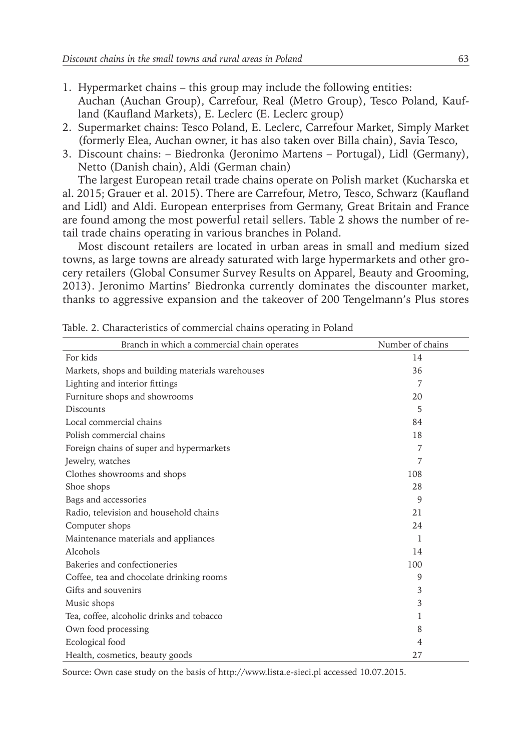- 1. Hypermarket chains this group may include the following entities: Auchan (Auchan Group), Carrefour, Real (Metro Group), Tesco Poland, Kaufland (Kaufland Markets), E. Leclerc (E. Leclerc group)
- 2. Supermarket chains: Tesco Poland, E. Leclerc, Carrefour Market, Simply Market (formerly Elea, Auchan owner, it has also taken over Billa chain), Savia Tesco,
- 3. Discount chains: Biedronka (Jeronimo Martens Portugal), Lidl (Germany), Netto (Danish chain), Aldi (German chain)

The largest European retail trade chains operate on Polish market (Kucharska et al. 2015; Grauer et al. 2015). There are Carrefour, Metro, Tesco, Schwarz (Kaufland and Lidl) and Aldi. European enterprises from Germany, Great Britain and France are found among the most powerful retail sellers. Table 2 shows the number of retail trade chains operating in various branches in Poland.

Most discount retailers are located in urban areas in small and medium sized towns, as large towns are already saturated with large hypermarkets and other grocery retailers (Global Consumer Survey Results on Apparel, Beauty and Grooming, 2013). Jeronimo Martins' Biedronka currently dominates the discounter market, thanks to aggressive expansion and the takeover of 200 Tengelmann's Plus stores

| Branch in which a commercial chain operates      | Number of chains |
|--------------------------------------------------|------------------|
| For kids                                         | 14               |
| Markets, shops and building materials warehouses | 36               |
| Lighting and interior fittings                   | 7                |
| Furniture shops and showrooms                    | 20               |
| Discounts                                        | 5                |
| Local commercial chains                          | 84               |
| Polish commercial chains                         | 18               |
| Foreign chains of super and hypermarkets         | 7                |
| Jewelry, watches                                 | 7                |
| Clothes showrooms and shops                      | 108              |
| Shoe shops                                       | 28               |
| Bags and accessories                             | 9                |
| Radio, television and household chains           | 21               |
| Computer shops                                   | 24               |
| Maintenance materials and appliances             | 1                |
| Alcohols                                         | 14               |
| Bakeries and confectioneries                     | 100              |
| Coffee, tea and chocolate drinking rooms         | 9                |
| Gifts and souvenirs                              | 3                |
| Music shops                                      | 3                |
| Tea, coffee, alcoholic drinks and tobacco        | 1                |
| Own food processing                              | 8                |
| Ecological food                                  | 4                |
| Health, cosmetics, beauty goods                  | 27               |

Table. 2. Characteristics of commercial chains operating in Poland

Source: Own case study on the basis of http://www.lista.e-sieci.pl accessed 10.07.2015.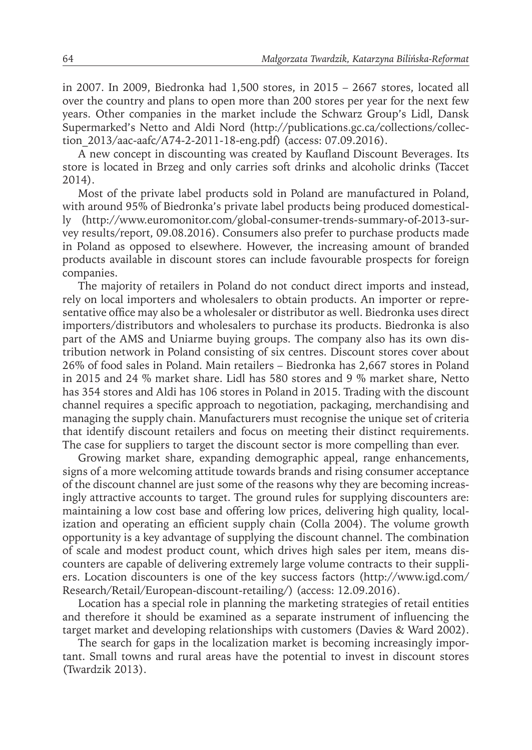in 2007. In 2009, Biedronka had 1,500 stores, in 2015 – 2667 stores, located all over the country and plans to open more than 200 stores per year for the next few years. Other companies in the market include the Schwarz Group's Lidl, Dansk Supermarked's Netto and Aldi Nord (http://publications.gc.ca/collections/collection\_2013/aac-aafc/A74-2-2011-18-eng.pdf) (access: 07.09.2016).

A new concept in discounting was created by Kaufland Discount Beverages. Its store is located in Brzeg and only carries soft drinks and alcoholic drinks (Taccet 2014).

Most of the private label products sold in Poland are manufactured in Poland, with around 95% of Biedronka's private label products being produced domestically (http://www.euromonitor.com/global-consumer-trends-summary-of-2013-survey results/report, 09.08.2016). Consumers also prefer to purchase products made in Poland as opposed to elsewhere. However, the increasing amount of branded products available in discount stores can include favourable prospects for foreign companies.

The majority of retailers in Poland do not conduct direct imports and instead, rely on local importers and wholesalers to obtain products. An importer or representative office may also be a wholesaler or distributor as well. Biedronka uses direct importers/distributors and wholesalers to purchase its products. Biedronka is also part of the AMS and Uniarme buying groups. The company also has its own distribution network in Poland consisting of six centres. Discount stores cover about 26% of food sales in Poland. Main retailers – Biedronka has 2,667 stores in Poland in 2015 and 24 % market share. Lidl has 580 stores and 9 % market share, Netto has 354 stores and Aldi has 106 stores in Poland in 2015. Trading with the discount channel requires a specific approach to negotiation, packaging, merchandising and managing the supply chain. Manufacturers must recognise the unique set of criteria that identify discount retailers and focus on meeting their distinct requirements. The case for suppliers to target the discount sector is more compelling than ever.

Growing market share, expanding demographic appeal, range enhancements, signs of a more welcoming attitude towards brands and rising consumer acceptance of the discount channel are just some of the reasons why they are becoming increasingly attractive accounts to target. The ground rules for supplying discounters are: maintaining a low cost base and offering low prices, delivering high quality, localization and operating an efficient supply chain (Colla 2004). The volume growth opportunity is a key advantage of supplying the discount channel. The combination of scale and modest product count, which drives high sales per item, means discounters are capable of delivering extremely large volume contracts to their suppliers. Location discounters is one of the key success factors (http://www.igd.com/ Research/Retail/European-discount-retailing/) (access: 12.09.2016).

Location has a special role in planning the marketing strategies of retail entities and therefore it should be examined as a separate instrument of influencing the target market and developing relationships with customers (Davies & Ward 2002).

The search for gaps in the localization market is becoming increasingly important. Small towns and rural areas have the potential to invest in discount stores (Twardzik 2013).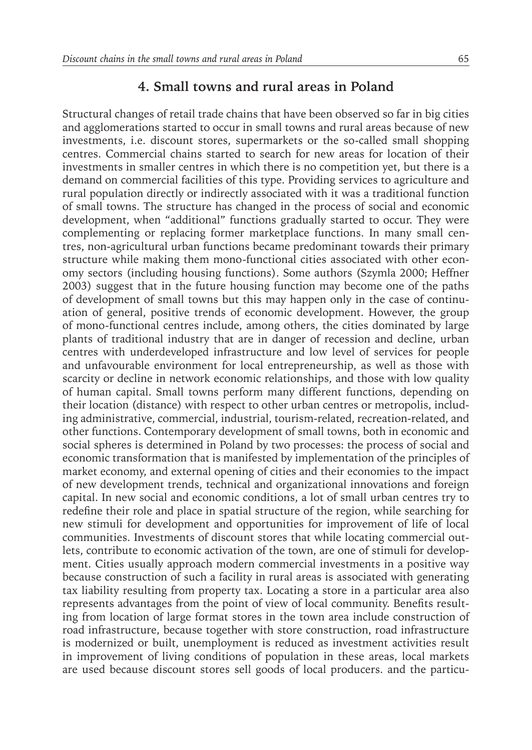Structural changes of retail trade chains that have been observed so far in big cities and agglomerations started to occur in small towns and rural areas because of new investments, i.e. discount stores, supermarkets or the so-called small shopping centres. Commercial chains started to search for new areas for location of their investments in smaller centres in which there is no competition yet, but there is a demand on commercial facilities of this type. Providing services to agriculture and rural population directly or indirectly associated with it was a traditional function of small towns. The structure has changed in the process of social and economic development, when "additional" functions gradually started to occur. They were complementing or replacing former marketplace functions. In many small centres, non-agricultural urban functions became predominant towards their primary structure while making them mono-functional cities associated with other economy sectors (including housing functions). Some authors (Szymla 2000; Heffner 2003) suggest that in the future housing function may become one of the paths of development of small towns but this may happen only in the case of continuation of general, positive trends of economic development. However, the group of mono-functional centres include, among others, the cities dominated by large plants of traditional industry that are in danger of recession and decline, urban centres with underdeveloped infrastructure and low level of services for people and unfavourable environment for local entrepreneurship, as well as those with scarcity or decline in network economic relationships, and those with low quality of human capital. Small towns perform many different functions, depending on their location (distance) with respect to other urban centres or metropolis, including administrative, commercial, industrial, tourism-related, recreation-related, and other functions. Contemporary development of small towns, both in economic and social spheres is determined in Poland by two processes: the process of social and economic transformation that is manifested by implementation of the principles of market economy, and external opening of cities and their economies to the impact of new development trends, technical and organizational innovations and foreign capital. In new social and economic conditions, a lot of small urban centres try to redefine their role and place in spatial structure of the region, while searching for new stimuli for development and opportunities for improvement of life of local communities. Investments of discount stores that while locating commercial outlets, contribute to economic activation of the town, are one of stimuli for development. Cities usually approach modern commercial investments in a positive way because construction of such a facility in rural areas is associated with generating tax liability resulting from property tax. Locating a store in a particular area also represents advantages from the point of view of local community. Benefits resulting from location of large format stores in the town area include construction of road infrastructure, because together with store construction, road infrastructure is modernized or built, unemployment is reduced as investment activities result in improvement of living conditions of population in these areas, local markets are used because discount stores sell goods of local producers. and the particu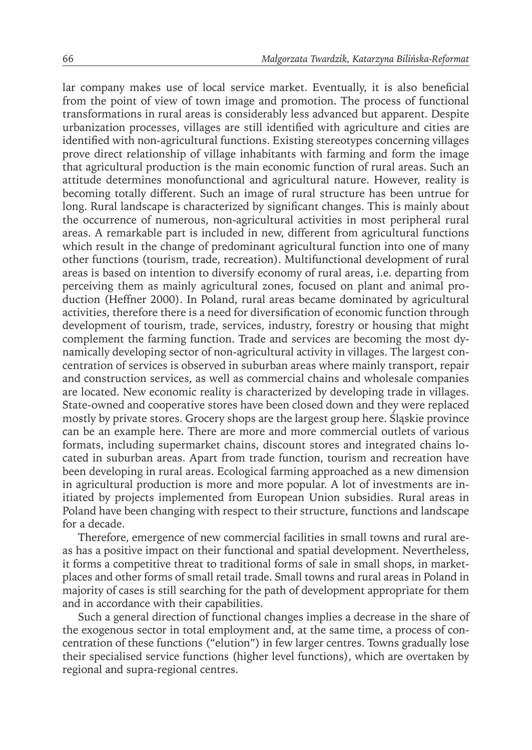lar company makes use of local service market. Eventually, it is also beneficial from the point of view of town image and promotion. The process of functional transformations in rural areas is considerably less advanced but apparent. Despite urbanization processes, villages are still identified with agriculture and cities are identified with non-agricultural functions. Existing stereotypes concerning villages prove direct relationship of village inhabitants with farming and form the image that agricultural production is the main economic function of rural areas. Such an attitude determines monofunctional and agricultural nature. However, reality is becoming totally different. Such an image of rural structure has been untrue for long. Rural landscape is characterized by significant changes. This is mainly about the occurrence of numerous, non-agricultural activities in most peripheral rural areas. A remarkable part is included in new, different from agricultural functions which result in the change of predominant agricultural function into one of many other functions (tourism, trade, recreation). Multifunctional development of rural areas is based on intention to diversify economy of rural areas, i.e. departing from perceiving them as mainly agricultural zones, focused on plant and animal production (Heffner 2000). In Poland, rural areas became dominated by agricultural activities, therefore there is a need for diversification of economic function through development of tourism, trade, services, industry, forestry or housing that might complement the farming function. Trade and services are becoming the most dynamically developing sector of non-agricultural activity in villages. The largest concentration of services is observed in suburban areas where mainly transport, repair and construction services, as well as commercial chains and wholesale companies are located. New economic reality is characterized by developing trade in villages. State-owned and cooperative stores have been closed down and they were replaced mostly by private stores. Grocery shops are the largest group here. Śląskie province can be an example here. There are more and more commercial outlets of various formats, including supermarket chains, discount stores and integrated chains located in suburban areas. Apart from trade function, tourism and recreation have been developing in rural areas. Ecological farming approached as a new dimension in agricultural production is more and more popular. A lot of investments are initiated by projects implemented from European Union subsidies. Rural areas in Poland have been changing with respect to their structure, functions and landscape for a decade.

Therefore, emergence of new commercial facilities in small towns and rural areas has a positive impact on their functional and spatial development. Nevertheless, it forms a competitive threat to traditional forms of sale in small shops, in marketplaces and other forms of small retail trade. Small towns and rural areas in Poland in majority of cases is still searching for the path of development appropriate for them and in accordance with their capabilities.

Such a general direction of functional changes implies a decrease in the share of the exogenous sector in total employment and, at the same time, a process of concentration of these functions ("elution") in few larger centres. Towns gradually lose their specialised service functions (higher level functions), which are overtaken by regional and supra-regional centres.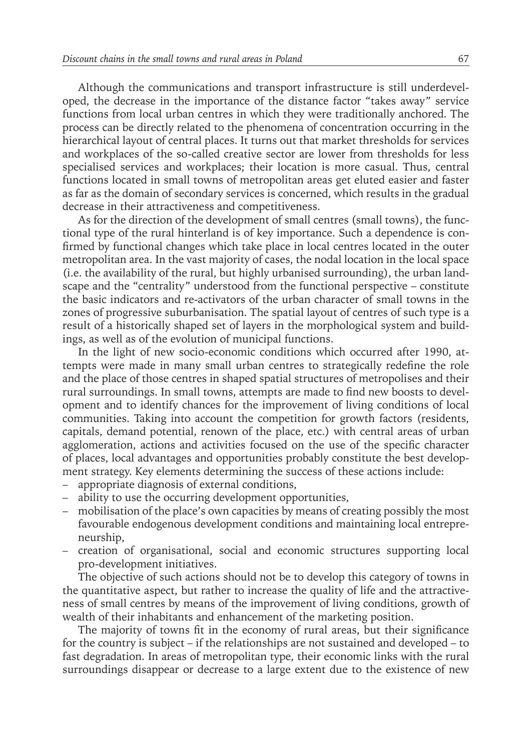Although the communications and transport infrastructure is still underdeveloped, the decrease in the importance of the distance factor "takes away" service functions from local urban centres in which they were traditionally anchored. The process can be directly related to the phenomena of concentration occurring in the hierarchical layout of central places. It turns out that market thresholds for services and workplaces of the so-called creative sector are lower from thresholds for less specialised services and workplaces; their location is more casual. Thus, central functions located in small towns of metropolitan areas get eluted easier and faster as far as the domain of secondary services is concerned, which results in the gradual decrease in their attractiveness and competitiveness.

As for the direction of the development of small centres (small towns), the functional type of the rural hinterland is of key importance. Such a dependence is confirmed by functional changes which take place in local centres located in the outer metropolitan area. In the vast majority of cases, the nodal location in the local space (i.e. the availability of the rural, but highly urbanised surrounding), the urban landscape and the "centrality" understood from the functional perspective – constitute the basic indicators and re-activators of the urban character of small towns in the zones of progressive suburbanisation. The spatial layout of centres of such type is a result of a historically shaped set of layers in the morphological system and buildings, as well as of the evolution of municipal functions.

In the light of new socio-economic conditions which occurred after 1990, attempts were made in many small urban centres to strategically redefine the role and the place of those centres in shaped spatial structures of metropolises and their rural surroundings. In small towns, attempts are made to find new boosts to development and to identify chances for the improvement of living conditions of local communities. Taking into account the competition for growth factors (residents, capitals, demand potential, renown of the place, etc.) with central areas of urban agglomeration, actions and activities focused on the use of the specific character of places, local advantages and opportunities probably constitute the best development strategy. Key elements determining the success of these actions include:

- appropriate diagnosis of external conditions,
- ability to use the occurring development opportunities,
- mobilisation of the place's own capacities by means of creating possibly the most favourable endogenous development conditions and maintaining local entrepreneurship,
- creation of organisational, social and economic structures supporting local pro-development initiatives.

The objective of such actions should not be to develop this category of towns in the quantitative aspect, but rather to increase the quality of life and the attractiveness of small centres by means of the improvement of living conditions, growth of wealth of their inhabitants and enhancement of the marketing position.

The majority of towns fit in the economy of rural areas, but their significance for the country is subject – if the relationships are not sustained and developed – to fast degradation. In areas of metropolitan type, their economic links with the rural surroundings disappear or decrease to a large extent due to the existence of new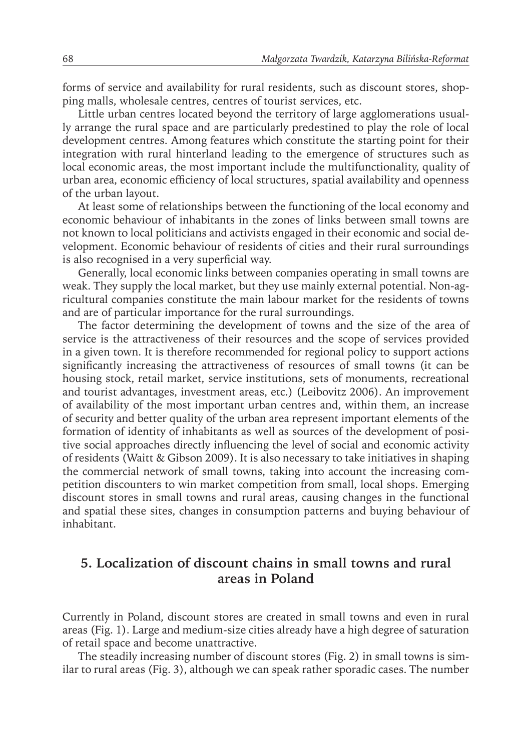forms of service and availability for rural residents, such as discount stores, shopping malls, wholesale centres, centres of tourist services, etc.

Little urban centres located beyond the territory of large agglomerations usually arrange the rural space and are particularly predestined to play the role of local development centres. Among features which constitute the starting point for their integration with rural hinterland leading to the emergence of structures such as local economic areas, the most important include the multifunctionality, quality of urban area, economic efficiency of local structures, spatial availability and openness of the urban layout.

At least some of relationships between the functioning of the local economy and economic behaviour of inhabitants in the zones of links between small towns are not known to local politicians and activists engaged in their economic and social development. Economic behaviour of residents of cities and their rural surroundings is also recognised in a very superficial way.

Generally, local economic links between companies operating in small towns are weak. They supply the local market, but they use mainly external potential. Non-agricultural companies constitute the main labour market for the residents of towns and are of particular importance for the rural surroundings.

The factor determining the development of towns and the size of the area of service is the attractiveness of their resources and the scope of services provided in a given town. It is therefore recommended for regional policy to support actions significantly increasing the attractiveness of resources of small towns (it can be housing stock, retail market, service institutions, sets of monuments, recreational and tourist advantages, investment areas, etc.) (Leibovitz 2006). An improvement of availability of the most important urban centres and, within them, an increase of security and better quality of the urban area represent important elements of the formation of identity of inhabitants as well as sources of the development of positive social approaches directly influencing the level of social and economic activity of residents (Waitt & Gibson 2009). It is also necessary to take initiatives in shaping the commercial network of small towns, taking into account the increasing competition discounters to win market competition from small, local shops. Emerging discount stores in small towns and rural areas, causing changes in the functional and spatial these sites, changes in consumption patterns and buying behaviour of inhabitant.

## **5. Localization of discount chains in small towns and rural areas in Poland**

Currently in Poland, discount stores are created in small towns and even in rural areas (Fig. 1). Large and medium-size cities already have a high degree of saturation of retail space and become unattractive.

The steadily increasing number of discount stores (Fig. 2) in small towns is similar to rural areas (Fig. 3), although we can speak rather sporadic cases. The number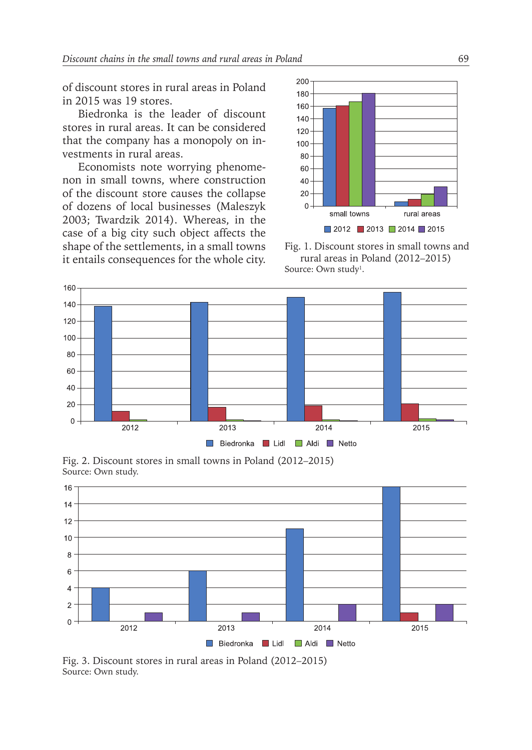of discount stores in rural areas in Poland in 2015 was 19 stores.

Biedronka is the leader of discount stores in rural areas. It can be considered that the company has a monopoly on investments in rural areas.

Economists note worrying phenomenon in small towns, where construction of the discount store causes the collapse of dozens of local businesses (Maleszyk 2003; Twardzik 2014). Whereas, in the case of a big city such object affects the shape of the settlements, in a small towns it entails consequences for the whole city.



Fig. 1. Discount stores in small towns and rural areas in Poland (2012–2015) Source: Own study<sup>1</sup>.



Fig. 2. Discount stores in small towns in Poland (2012–2015) Source: Own study.



Fig. 3. Discount stores in rural areas in Poland (2012–2015) Source: Own study.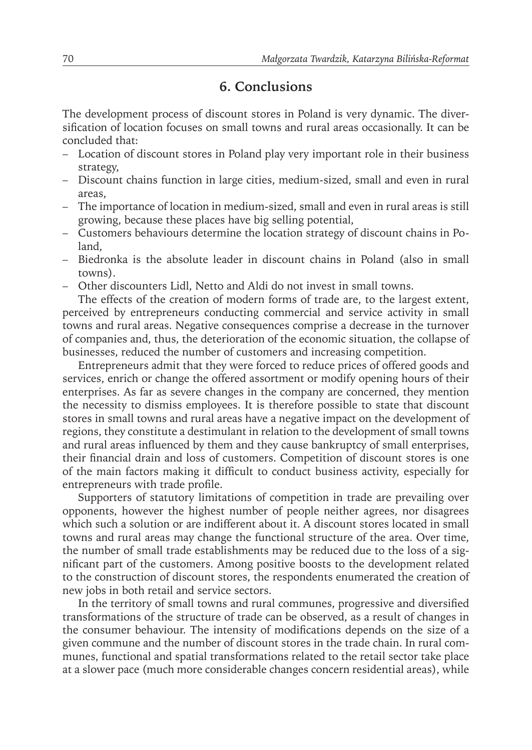## **6. Conclusions**

The development process of discount stores in Poland is very dynamic. The diversification of location focuses on small towns and rural areas occasionally. It can be concluded that:

- Location of discount stores in Poland play very important role in their business strategy,
- Discount chains function in large cities, medium-sized, small and even in rural areas,
- The importance of location in medium-sized, small and even in rural areas is still growing, because these places have big selling potential,
- Customers behaviours determine the location strategy of discount chains in Poland,
- Biedronka is the absolute leader in discount chains in Poland (also in small towns).
- Other discounters Lidl, Netto and Aldi do not invest in small towns.

The effects of the creation of modern forms of trade are, to the largest extent, perceived by entrepreneurs conducting commercial and service activity in small towns and rural areas. Negative consequences comprise a decrease in the turnover of companies and, thus, the deterioration of the economic situation, the collapse of businesses, reduced the number of customers and increasing competition.

Entrepreneurs admit that they were forced to reduce prices of offered goods and services, enrich or change the offered assortment or modify opening hours of their enterprises. As far as severe changes in the company are concerned, they mention the necessity to dismiss employees. It is therefore possible to state that discount stores in small towns and rural areas have a negative impact on the development of regions, they constitute a destimulant in relation to the development of small towns and rural areas influenced by them and they cause bankruptcy of small enterprises, their financial drain and loss of customers. Competition of discount stores is one of the main factors making it difficult to conduct business activity, especially for entrepreneurs with trade profile.

Supporters of statutory limitations of competition in trade are prevailing over opponents, however the highest number of people neither agrees, nor disagrees which such a solution or are indifferent about it. A discount stores located in small towns and rural areas may change the functional structure of the area. Over time, the number of small trade establishments may be reduced due to the loss of a significant part of the customers. Among positive boosts to the development related to the construction of discount stores, the respondents enumerated the creation of new jobs in both retail and service sectors.

In the territory of small towns and rural communes, progressive and diversified transformations of the structure of trade can be observed, as a result of changes in the consumer behaviour. The intensity of modifications depends on the size of a given commune and the number of discount stores in the trade chain. In rural communes, functional and spatial transformations related to the retail sector take place at a slower pace (much more considerable changes concern residential areas), while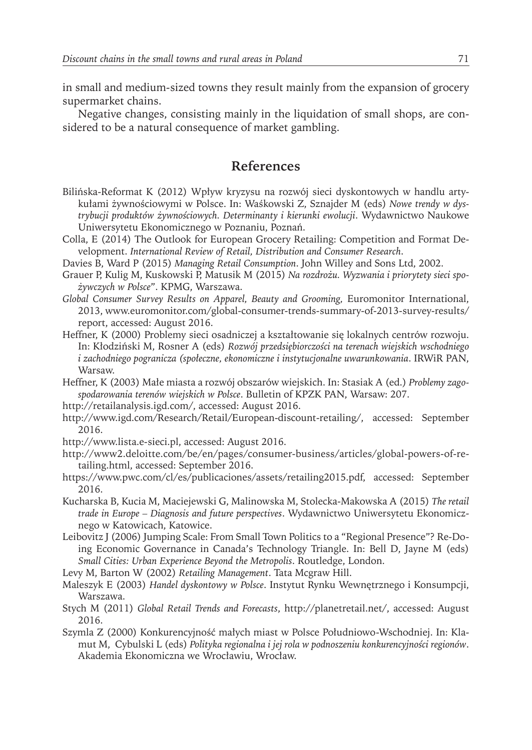in small and medium-sized towns they result mainly from the expansion of grocery supermarket chains.

Negative changes, consisting mainly in the liquidation of small shops, are considered to be a natural consequence of market gambling.

#### **References**

- Bilińska-Reformat K (2012) Wpływ kryzysu na rozwój sieci dyskontowych w handlu artykułami żywnościowymi w Polsce. In: Waśkowski Z, Sznajder M (eds) *Nowe trendy w dystrybucji produktów żywnościowych. Determinanty i kierunki ewolucji*. Wydawnictwo Naukowe Uniwersytetu Ekonomicznego w Poznaniu, Poznań.
- Colla, E (2014) The Outlook for European Grocery Retailing: Competition and Format Development. *International Review of Retail, Distribution and Consumer Research*.
- Davies B, Ward P (2015) *Managing Retail Consumption*. John Willey and Sons Ltd, 2002.
- Grauer P, Kulig M, Kuskowski P, Matusik M (2015) *Na rozdrożu. Wyzwania i priorytety sieci spożywczych w Polsce*". KPMG, Warszawa.
- *Global Consumer Survey Results on Apparel, Beauty and Grooming,* Euromonitor International, 2013, www.euromonitor.com/global-consumer-trends-summary-of-2013-survey-results/ report, accessed: August 2016.
- Heffner, K (2000) Problemy sieci osadniczej a kształtowanie się lokalnych centrów rozwoju. In: Kłodziński M, Rosner A (eds) *Rozwój przedsiębiorczości na terenach wiejskich wschodniego i zachodniego pogranicza (społeczne, ekonomiczne i instytucjonalne uwarunkowania*. IRWiR PAN, Warsaw.
- Heffner, K (2003) Małe miasta a rozwój obszarów wiejskich. In: Stasiak A (ed.) *Problemy zagospodarowania terenów wiejskich w Polsce*. Bulletin of KPZK PAN, Warsaw: 207.
- http://retailanalysis.igd.com/, accessed: August 2016.
- http://www.igd.com/Research/Retail/European-discount-retailing/, accessed: September 2016.
- http://www.lista.e-sieci.pl, accessed: August 2016.
- http://www2.deloitte.com/be/en/pages/consumer-business/articles/global-powers-of-retailing.html, accessed: September 2016.
- https://www.pwc.com/cl/es/publicaciones/assets/retailing2015.pdf, accessed: September 2016.
- Kucharska B, Kucia M, Maciejewski G, Malinowska M, Stolecka-Makowska A (2015) *The retail trade in Europe – Diagnosis and future perspectives*. Wydawnictwo Uniwersytetu Ekonomicznego w Katowicach, Katowice.
- Leibovitz J (2006) Jumping Scale: From Small Town Politics to a "Regional Presence"? Re-Doing Economic Governance in Canada's Technology Triangle. In: Bell D, Jayne M (eds) *Small Cities: Urban Experience Beyond the Metropolis*. Routledge, London.
- Levy M, Barton W (2002) *Retailing Management*. Tata Mcgraw Hill.
- Maleszyk E (2003) *Handel dyskontowy w Polsce*. Instytut Rynku Wewnętrznego i Konsumpcji, Warszawa.
- Stych M (2011) *Global Retail Trends and Forecasts*, http://planetretail.net/, accessed: August 2016.
- Szymla Z (2000) Konkurencyjność małych miast w Polsce Południowo-Wschodniej. In: Klamut M, Cybulski L (eds) *Polityka regionalna i jej rola w podnoszeniu konkurencyjności regionów*. Akademia Ekonomiczna we Wrocławiu, Wrocław.